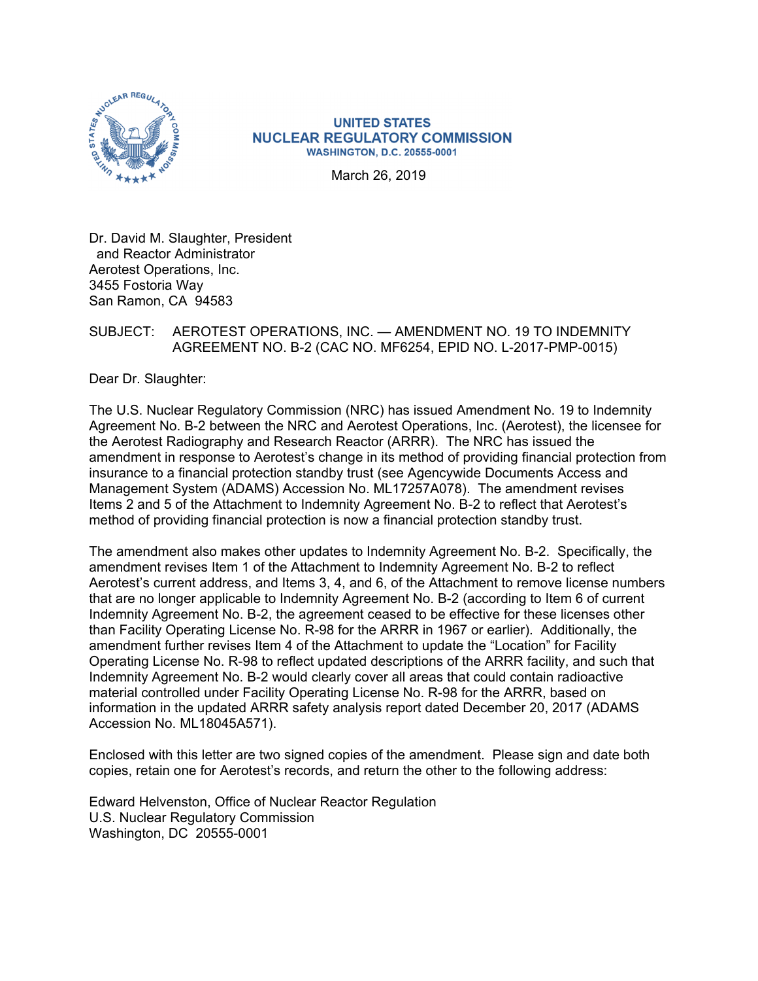

## **UNITED STATES NUCLEAR REGULATORY COMMISSION WASHINGTON, D.C. 20555-0001**

March 26, 2019

Dr. David M. Slaughter, President and Reactor Administrator Aerotest Operations, Inc. 3455 Fostoria Way San Ramon, CA 94583

## SUBJECT: AEROTEST OPERATIONS, INC. — AMENDMENT NO. 19 TO INDEMNITY AGREEMENT NO. B-2 (CAC NO. MF6254, EPID NO. L-2017-PMP-0015)

Dear Dr. Slaughter:

The U.S. Nuclear Regulatory Commission (NRC) has issued Amendment No. 19 to Indemnity Agreement No. B-2 between the NRC and Aerotest Operations, Inc. (Aerotest), the licensee for the Aerotest Radiography and Research Reactor (ARRR). The NRC has issued the amendment in response to Aerotest's change in its method of providing financial protection from insurance to a financial protection standby trust (see Agencywide Documents Access and Management System (ADAMS) Accession No. ML17257A078). The amendment revises Items 2 and 5 of the Attachment to Indemnity Agreement No. B-2 to reflect that Aerotest's method of providing financial protection is now a financial protection standby trust.

The amendment also makes other updates to Indemnity Agreement No. B-2. Specifically, the amendment revises Item 1 of the Attachment to Indemnity Agreement No. B-2 to reflect Aerotest's current address, and Items 3, 4, and 6, of the Attachment to remove license numbers that are no longer applicable to Indemnity Agreement No. B-2 (according to Item 6 of current Indemnity Agreement No. B-2, the agreement ceased to be effective for these licenses other than Facility Operating License No. R-98 for the ARRR in 1967 or earlier). Additionally, the amendment further revises Item 4 of the Attachment to update the "Location" for Facility Operating License No. R-98 to reflect updated descriptions of the ARRR facility, and such that Indemnity Agreement No. B-2 would clearly cover all areas that could contain radioactive material controlled under Facility Operating License No. R-98 for the ARRR, based on information in the updated ARRR safety analysis report dated December 20, 2017 (ADAMS Accession No. ML18045A571).

Enclosed with this letter are two signed copies of the amendment. Please sign and date both copies, retain one for Aerotest's records, and return the other to the following address:

Edward Helvenston, Office of Nuclear Reactor Regulation U.S. Nuclear Regulatory Commission Washington, DC 20555-0001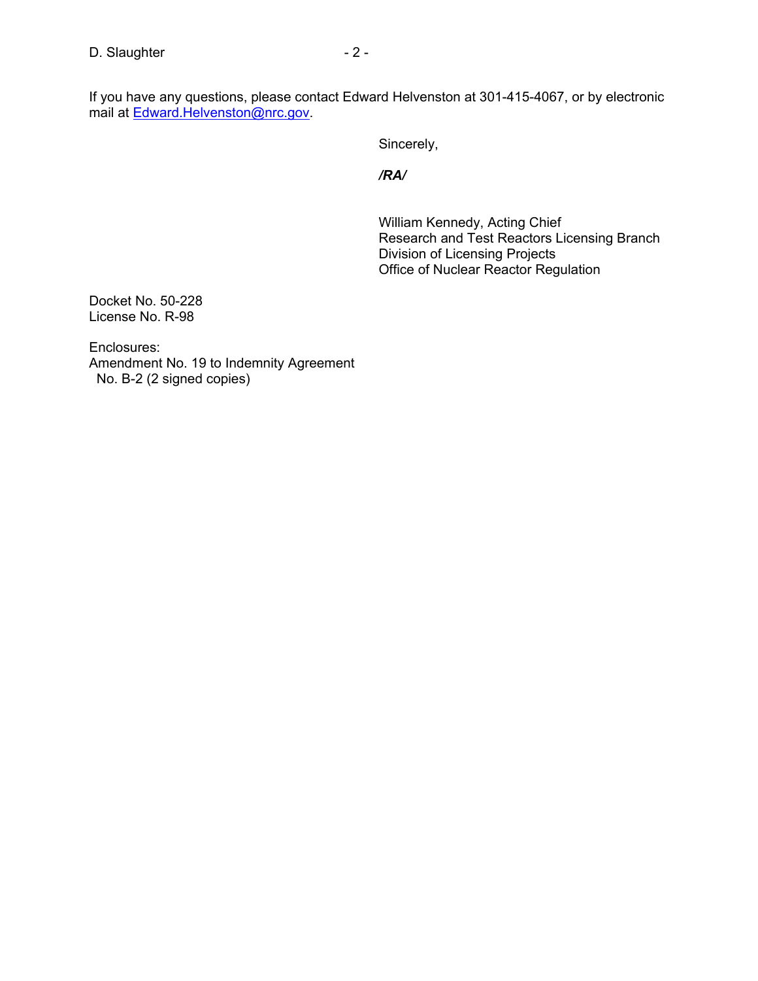If you have any questions, please contact Edward Helvenston at 301-415-4067, or by electronic mail at <u>Edward.Helvenston@nrc.gov</u>.

Sincerely,

*/RA/* 

William Kennedy, Acting Chief Research and Test Reactors Licensing Branch Division of Licensing Projects Office of Nuclear Reactor Regulation

Docket No. 50-228 License No. R-98

Enclosures: Amendment No. 19 to Indemnity Agreement No. B-2 (2 signed copies)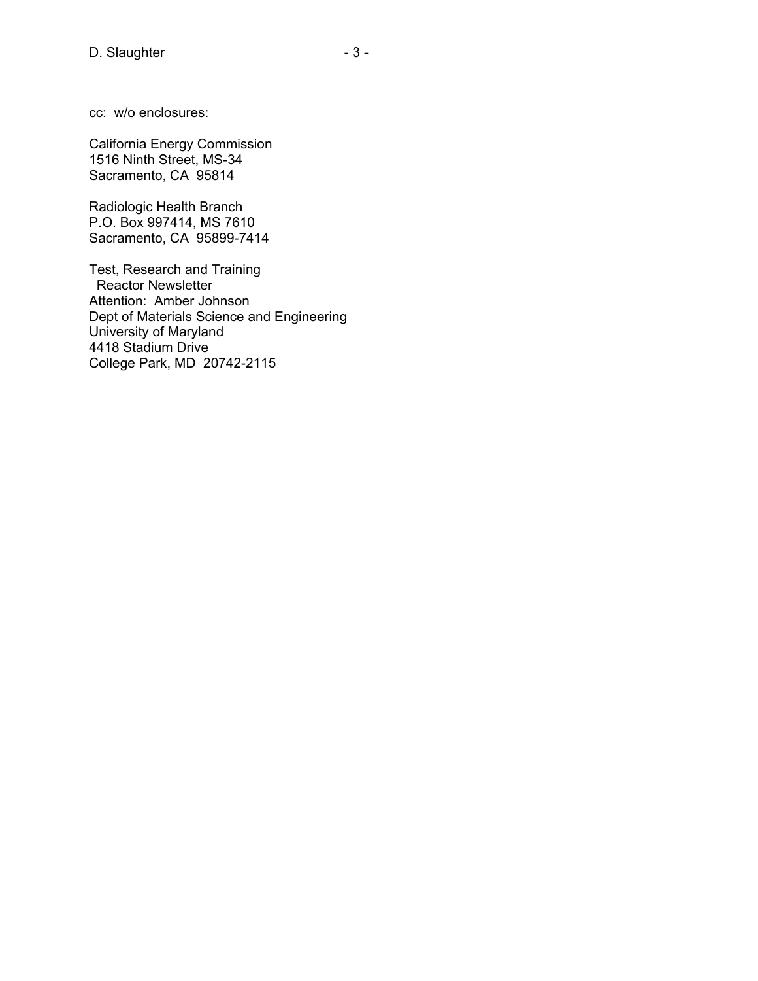cc: w/o enclosures:

California Energy Commission 1516 Ninth Street, MS-34 Sacramento, CA 95814

Radiologic Health Branch P.O. Box 997414, MS 7610 Sacramento, CA 95899-7414

Test, Research and Training Reactor Newsletter Attention: Amber Johnson Dept of Materials Science and Engineering University of Maryland 4418 Stadium Drive College Park, MD 20742-2115